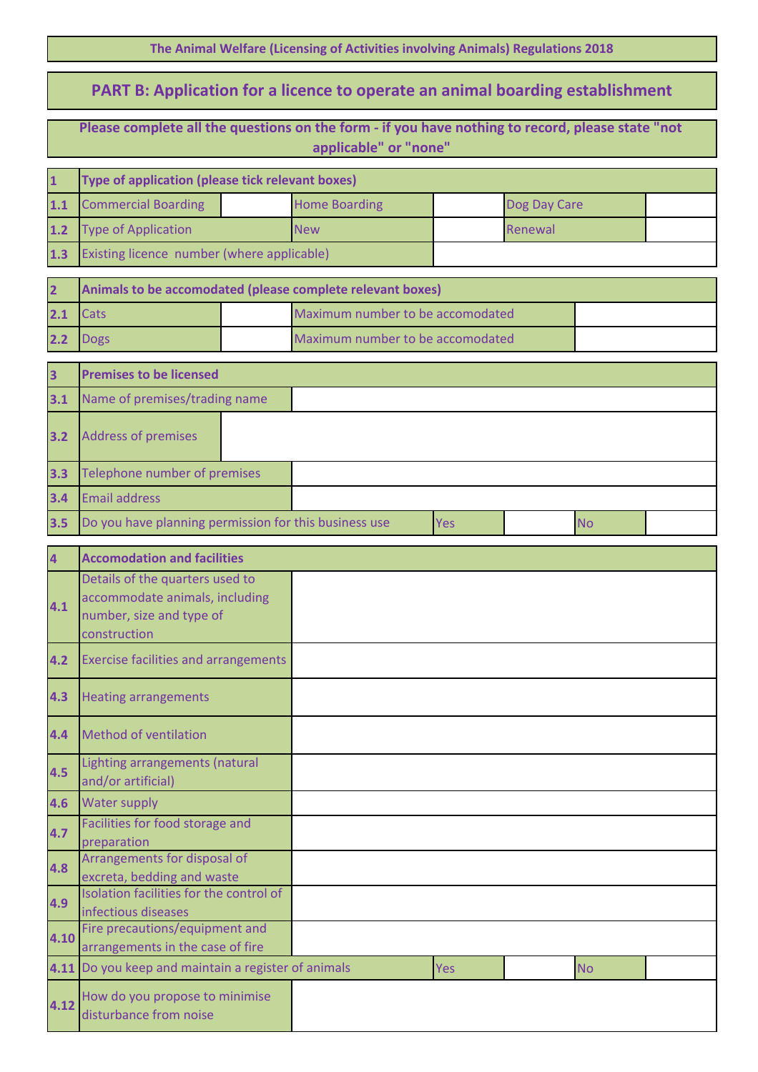**The Animal Welfare (Licensing of Activities involving Animals) Regulations 2018**

## **PART B: Application for a licence to operate an animal boarding establishment**

**Please complete all the questions on the form - if you have nothing to record, please state "not** 

| applicable" or "none"   |                                                                    |  |                                                            |     |              |           |  |  |
|-------------------------|--------------------------------------------------------------------|--|------------------------------------------------------------|-----|--------------|-----------|--|--|
| $\mathbf{1}$            | Type of application (please tick relevant boxes)                   |  |                                                            |     |              |           |  |  |
| 1.1                     | <b>Commercial Boarding</b>                                         |  | <b>Home Boarding</b>                                       |     | Dog Day Care |           |  |  |
| $1.2$                   | <b>Type of Application</b>                                         |  | <b>New</b>                                                 |     | Renewal      |           |  |  |
| 1.3                     | Existing licence number (where applicable)                         |  |                                                            |     |              |           |  |  |
| $\overline{2}$          |                                                                    |  | Animals to be accomodated (please complete relevant boxes) |     |              |           |  |  |
| 2.1                     | <b>Cats</b>                                                        |  | Maximum number to be accomodated                           |     |              |           |  |  |
| 2.2                     | <b>Dogs</b>                                                        |  | Maximum number to be accomodated                           |     |              |           |  |  |
|                         |                                                                    |  |                                                            |     |              |           |  |  |
| $\overline{\mathbf{3}}$ | <b>Premises to be licensed</b>                                     |  |                                                            |     |              |           |  |  |
| 3.1                     | Name of premises/trading name                                      |  |                                                            |     |              |           |  |  |
| 3.2                     | <b>Address of premises</b>                                         |  |                                                            |     |              |           |  |  |
| 3.3                     | Telephone number of premises                                       |  |                                                            |     |              |           |  |  |
| 3.4                     | <b>Email address</b>                                               |  |                                                            |     |              |           |  |  |
| 3.5                     | Do you have planning permission for this business use              |  |                                                            | Yes |              | <b>No</b> |  |  |
| $\overline{\mathbf{4}}$ | <b>Accomodation and facilities</b>                                 |  |                                                            |     |              |           |  |  |
|                         | Details of the quarters used to<br>accommodate animals, including  |  |                                                            |     |              |           |  |  |
| 4.1                     | number, size and type of<br>construction                           |  |                                                            |     |              |           |  |  |
| 4.2                     | <b>Exercise facilities and arrangements</b>                        |  |                                                            |     |              |           |  |  |
| 4.3                     | <b>Heating arrangements</b>                                        |  |                                                            |     |              |           |  |  |
| 4.4                     | <b>Method of ventilation</b>                                       |  |                                                            |     |              |           |  |  |
| 4.5                     | Lighting arrangements (natural<br>and/or artificial)               |  |                                                            |     |              |           |  |  |
| 4.6                     | Water supply                                                       |  |                                                            |     |              |           |  |  |
| 4.7                     | Facilities for food storage and<br>preparation                     |  |                                                            |     |              |           |  |  |
| 4.8                     | Arrangements for disposal of<br>excreta, bedding and waste         |  |                                                            |     |              |           |  |  |
| 4.9                     | Isolation facilities for the control of<br>infectious diseases     |  |                                                            |     |              |           |  |  |
| 4.10                    | Fire precautions/equipment and<br>arrangements in the case of fire |  |                                                            |     |              |           |  |  |
| 4.11                    | Do you keep and maintain a register of animals                     |  |                                                            | Yes |              | <b>No</b> |  |  |

**4.12**

How do you propose to minimise

disturbance from noise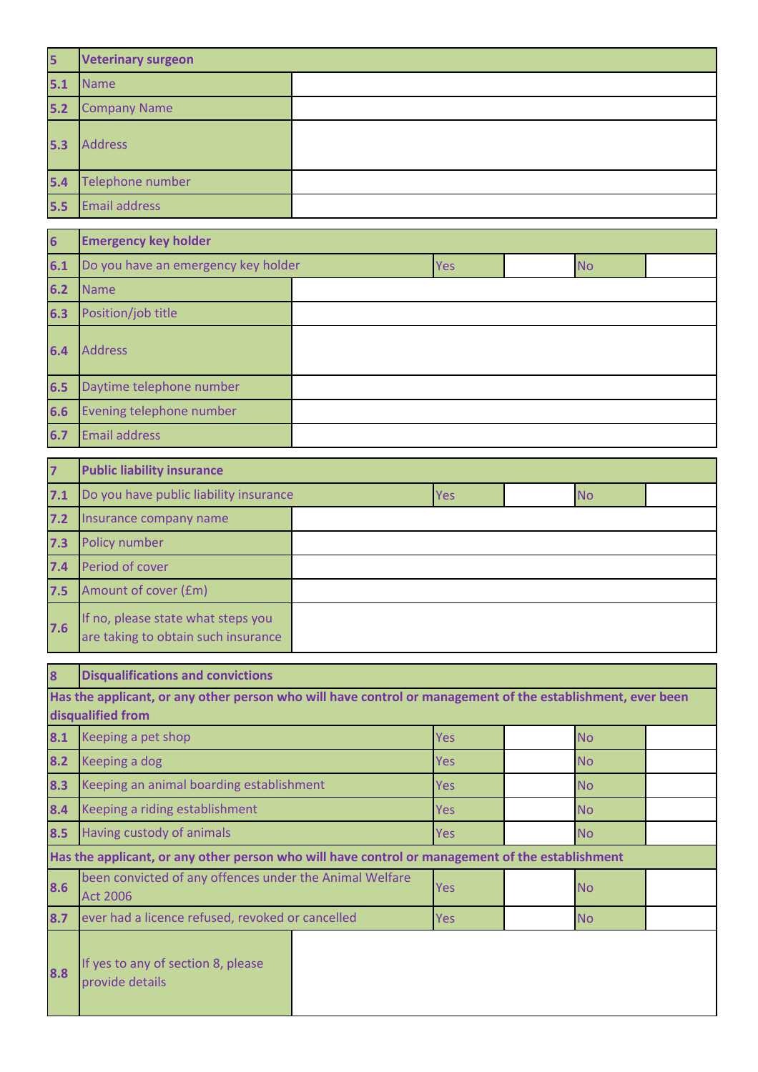| 5   | <b>Veterinary surgeon</b> |  |  |
|-----|---------------------------|--|--|
| 5.1 | <b>Name</b>               |  |  |
| 5.2 | <b>Company Name</b>       |  |  |
| 5.3 | <b>Address</b>            |  |  |
| 5.4 | Telephone number          |  |  |
| 5.5 | <b>Email address</b>      |  |  |

| $6\overline{6}$ | <b>Emergency key holder</b>         |  |     |  |           |  |
|-----------------|-------------------------------------|--|-----|--|-----------|--|
| 6.1             | Do you have an emergency key holder |  | Yes |  | <b>No</b> |  |
| $6.2$           | Name                                |  |     |  |           |  |
| 6.3             | Position/job title                  |  |     |  |           |  |
| 6.4             | <b>Address</b>                      |  |     |  |           |  |
| 6.5             | Daytime telephone number            |  |     |  |           |  |
| 6.6             | Evening telephone number            |  |     |  |           |  |
| 6.7             | <b>Email address</b>                |  |     |  |           |  |

| $\overline{z}$ | <b>Public liability insurance</b>                                         |  |            |  |           |  |
|----------------|---------------------------------------------------------------------------|--|------------|--|-----------|--|
| 7.1            | Do you have public liability insurance                                    |  | <b>Yes</b> |  | <b>No</b> |  |
| 7.2            | Insurance company name                                                    |  |            |  |           |  |
| 7.3            | Policy number                                                             |  |            |  |           |  |
| 7.4            | Period of cover                                                           |  |            |  |           |  |
| 7.5            | Amount of cover (£m)                                                      |  |            |  |           |  |
| 7.6            | If no, please state what steps you<br>are taking to obtain such insurance |  |            |  |           |  |

| 8   | <b>Disqualifications and convictions</b>                                                                   |            |            |           |           |  |
|-----|------------------------------------------------------------------------------------------------------------|------------|------------|-----------|-----------|--|
|     | Has the applicant, or any other person who will have control or management of the establishment, ever been |            |            |           |           |  |
|     | disqualified from                                                                                          |            |            |           |           |  |
| 8.1 | Keeping a pet shop                                                                                         |            | <b>Yes</b> |           | <b>No</b> |  |
| 8.2 | Keeping a dog                                                                                              |            | Yes        |           | <b>No</b> |  |
| 8.3 | Keeping an animal boarding establishment                                                                   | Yes.       |            | <b>No</b> |           |  |
| 8.4 | Keeping a riding establishment                                                                             | <b>Yes</b> |            | <b>No</b> |           |  |
| 8.5 | Having custody of animals                                                                                  | <b>Yes</b> |            | <b>No</b> |           |  |
|     | Has the applicant, or any other person who will have control or management of the establishment            |            |            |           |           |  |
| 8.6 | been convicted of any offences under the Animal Welfare<br><b>Act 2006</b>                                 |            | <b>Yes</b> |           | <b>No</b> |  |
| 8.7 | ever had a licence refused, revoked or cancelled                                                           |            | <b>Yes</b> |           | <b>No</b> |  |
| 8.8 | If yes to any of section 8, please<br>provide details                                                      |            |            |           |           |  |